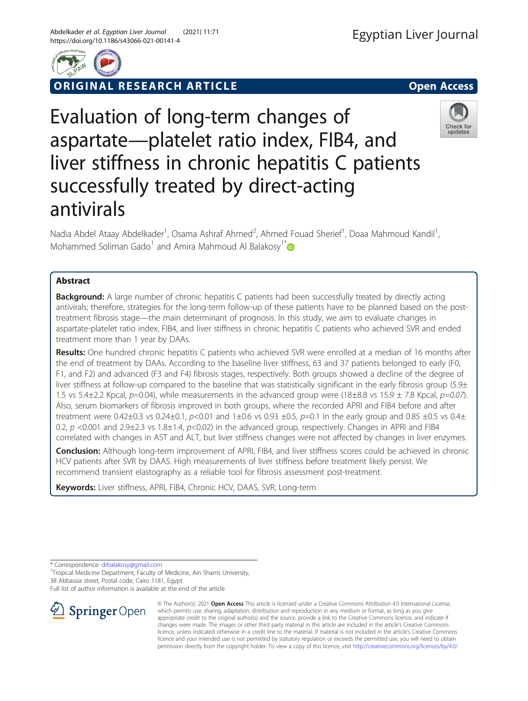

RIGINAL RESEARCH ARTICLE **And Contact Access** open Access

# Evaluation of long-term changes of aspartate—platelet ratio index, FIB4, and liver stiffness in chronic hepatitis C patients successfully treated by direct-acting antivirals



Nadia Abdel Ataay Abdelkader<sup>1</sup>, Osama Ashraf Ahmed<sup>2</sup>, Ahmed Fouad Sherief<sup>1</sup>, Doaa Mahmoud Kandil<sup>1</sup> , Mohammed Soliman Gado<sup>1</sup> and Amira Mahmoud Al Balakosy<sup>1\*</sup>

# Abstract

**Background:** A large number of chronic hepatitis C patients had been successfully treated by directly acting antivirals; therefore, strategies for the long-term follow-up of these patients have to be planned based on the posttreatment fibrosis stage—the main determinant of prognosis. In this study, we aim to evaluate changes in aspartate-platelet ratio index, FIB4, and liver stiffness in chronic hepatitis C patients who achieved SVR and ended treatment more than 1 year by DAAs.

Results: One hundred chronic hepatitis C patients who achieved SVR were enrolled at a median of 16 months after the end of treatment by DAAs. According to the baseline liver stiffness, 63 and 37 patients belonged to early (F0, F1, and F2) and advanced (F3 and F4) fibrosis stages, respectively. Both groups showed a decline of the degree of liver stiffness at follow-up compared to the baseline that was statistically significant in the early fibrosis group (5.9±) 1.5 vs 5.4±2.2 Kpcal,  $p=0.04$ ), while measurements in the advanced group were (18±8.8 vs 15.9 ± 7.8 Kpcal,  $p=0.07$ ). Also, serum biomarkers of fibrosis improved in both groups, where the recorded APRI and FIB4 before and after treatment were  $0.42\pm0.3$  vs  $0.24\pm0.1$ ,  $p<0.01$  and  $1\pm0.6$  vs  $0.93\pm0.5$ ,  $p=0.1$  in the early group and  $0.85\pm0.5$  vs  $0.4\pm$ 0.2, p <0.001 and 2.9±2.3 vs 1.8±1.4, p<0.02) in the advanced group, respectively. Changes in APRI and FIB4 correlated with changes in AST and ALT, but liver stiffness changes were not affected by changes in liver enzymes.

Conclusion: Although long-term improvement of APRI, FIB4, and liver stiffness scores could be achieved in chronic HCV patients after SVR by DAAS. High measurements of liver stiffness before treatment likely persist. We recommend transient elastography as a reliable tool for fibrosis assessment post-treatment.

Keywords: Liver stiffness, APRI, FIB4, Chronic HCV, DAAS, SVR, Long-term

\* Correspondence: [drbalakosy@gmail.com](mailto:drbalakosy@gmail.com) <sup>1</sup>

<sup>1</sup>Tropical Medicine Department, Faculty of Medicine, Ain Shams University, 38 Abbassia street, Postal code, Cairo 1181, Egypt

Full list of author information is available at the end of the article



© The Author(s). 2021 Open Access This article is licensed under a Creative Commons Attribution 4.0 International License, which permits use, sharing, adaptation, distribution and reproduction in any medium or format, as long as you give appropriate credit to the original author(s) and the source, provide a link to the Creative Commons licence, and indicate if changes were made. The images or other third party material in this article are included in the article's Creative Commons licence, unless indicated otherwise in a credit line to the material. If material is not included in the article's Creative Commons licence and your intended use is not permitted by statutory regulation or exceeds the permitted use, you will need to obtain permission directly from the copyright holder. To view a copy of this licence, visit <http://creativecommons.org/licenses/by/4.0/>.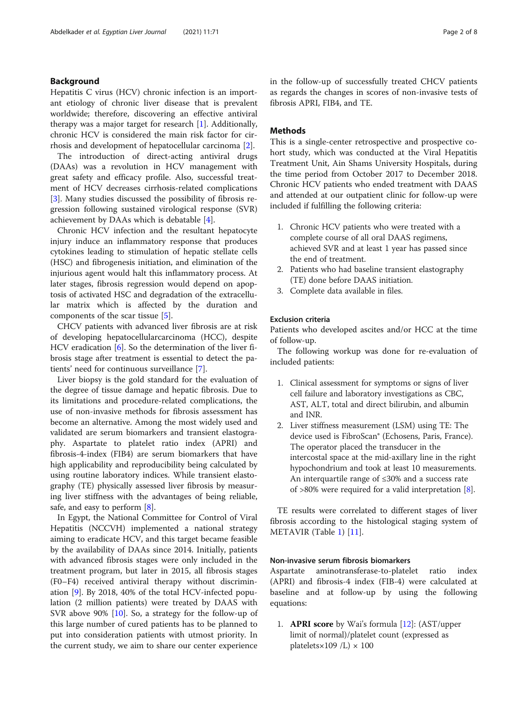## Background

Hepatitis C virus (HCV) chronic infection is an important etiology of chronic liver disease that is prevalent worldwide; therefore, discovering an effective antiviral therapy was a major target for research [[1\]](#page-7-0). Additionally, chronic HCV is considered the main risk factor for cirrhosis and development of hepatocellular carcinoma [\[2](#page-7-0)].

The introduction of direct-acting antiviral drugs (DAAs) was a revolution in HCV management with great safety and efficacy profile. Also, successful treatment of HCV decreases cirrhosis-related complications [[3\]](#page-7-0). Many studies discussed the possibility of fibrosis regression following sustained virological response (SVR) achievement by DAAs which is debatable [[4](#page-7-0)].

Chronic HCV infection and the resultant hepatocyte injury induce an inflammatory response that produces cytokines leading to stimulation of hepatic stellate cells (HSC) and fibrogenesis initiation, and elimination of the injurious agent would halt this inflammatory process. At later stages, fibrosis regression would depend on apoptosis of activated HSC and degradation of the extracellular matrix which is affected by the duration and components of the scar tissue [[5\]](#page-7-0).

CHCV patients with advanced liver fibrosis are at risk of developing hepatocellularcarcinoma (HCC), despite HCV eradication [[6\]](#page-7-0). So the determination of the liver fibrosis stage after treatment is essential to detect the patients' need for continuous surveillance [[7\]](#page-7-0).

Liver biopsy is the gold standard for the evaluation of the degree of tissue damage and hepatic fibrosis. Due to its limitations and procedure-related complications, the use of non-invasive methods for fibrosis assessment has become an alternative. Among the most widely used and validated are serum biomarkers and transient elastography. Aspartate to platelet ratio index (APRI) and fibrosis-4-index (FIB4) are serum biomarkers that have high applicability and reproducibility being calculated by using routine laboratory indices. While transient elastography (TE) physically assessed liver fibrosis by measuring liver stiffness with the advantages of being reliable, safe, and easy to perform [[8](#page-7-0)].

In Egypt, the National Committee for Control of Viral Hepatitis (NCCVH) implemented a national strategy aiming to eradicate HCV, and this target became feasible by the availability of DAAs since 2014. Initially, patients with advanced fibrosis stages were only included in the treatment program, but later in 2015, all fibrosis stages (F0–F4) received antiviral therapy without discrimination [[9\]](#page-7-0). By 2018, 40% of the total HCV-infected population (2 million patients) were treated by DAAS with SVR above 90% [\[10\]](#page-7-0). So, a strategy for the follow-up of this large number of cured patients has to be planned to put into consideration patients with utmost priority. In the current study, we aim to share our center experience in the follow-up of successfully treated CHCV patients as regards the changes in scores of non-invasive tests of fibrosis APRI, FIB4, and TE.

## **Methods**

This is a single-center retrospective and prospective cohort study, which was conducted at the Viral Hepatitis Treatment Unit, Ain Shams University Hospitals, during the time period from October 2017 to December 2018. Chronic HCV patients who ended treatment with DAAS and attended at our outpatient clinic for follow-up were included if fulfilling the following criteria:

- 1. Chronic HCV patients who were treated with a complete course of all oral DAAS regimens, achieved SVR and at least 1 year has passed since the end of treatment.
- 2. Patients who had baseline transient elastography (TE) done before DAAS initiation.
- 3. Complete data available in files.

#### Exclusion criteria

Patients who developed ascites and/or HCC at the time of follow-up.

The following workup was done for re-evaluation of included patients:

- 1. Clinical assessment for symptoms or signs of liver cell failure and laboratory investigations as CBC, AST, ALT, total and direct bilirubin, and albumin and INR.
- 2. Liver stiffness measurement (LSM) using TE: The device used is FibroScan® (Echosens, Paris, France). The operator placed the transducer in the intercostal space at the mid-axillary line in the right hypochondrium and took at least 10 measurements. An interquartile range of ≤30% and a success rate of >80% were required for a valid interpretation [\[8](#page-7-0)].

TE results were correlated to different stages of liver fibrosis according to the histological staging system of METAVIR (Table [1\)](#page-2-0) [\[11\]](#page-7-0).

# Non-invasive serum fibrosis biomarkers

Aspartate aminotransferase-to-platelet ratio index (APRI) and fibrosis-4 index (FIB-4) were calculated at baseline and at follow-up by using the following equations:

1. APRI score by Wai's formula [\[12\]](#page-7-0): (AST/upper limit of normal)/platelet count (expressed as platelets $\times$ 109 /L)  $\times$  100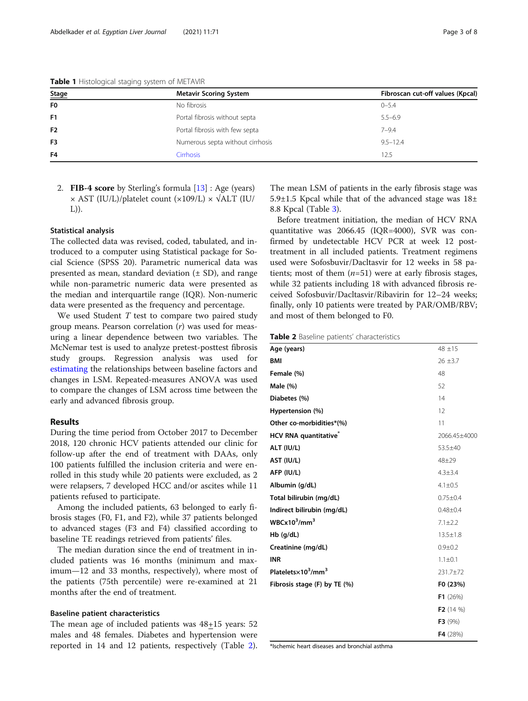<span id="page-2-0"></span>Table 1 Histological staging system of METAVIR

| Stage          | <b>Metavir Scoring System</b>    | Fibroscan cut-off values (Kpcal) |
|----------------|----------------------------------|----------------------------------|
| F <sub>0</sub> | No fibrosis                      | $0 - 5.4$                        |
| F <sub>1</sub> | Portal fibrosis without septa    | $5.5 - 6.9$                      |
| F <sub>2</sub> | Portal fibrosis with few septa   | $7 - 9.4$                        |
| F <sub>3</sub> | Numerous septa without cirrhosis | $9.5 - 12.4$                     |
| F4             | <b>Cirrhosis</b>                 | 12.5                             |

2. FIB-4 score by Sterling's formula [\[13](#page-7-0)] : Age (years)  $\times$  AST (IU/L)/platelet count ( $\times$ 109/L)  $\times$   $\sqrt{ALT}$  (IU/ L)).

#### Statistical analysis

The collected data was revised, coded, tabulated, and introduced to a computer using Statistical package for Social Science (SPSS 20). Parametric numerical data was presented as mean, standard deviation  $(\pm SD)$ , and range while non-parametric numeric data were presented as the median and interquartile range (IQR). Non-numeric data were presented as the frequency and percentage.

We used Student T test to compare two paired study group means. Pearson correlation  $(r)$  was used for measuring a linear dependence between two variables. The McNemar test is used to analyze pretest-posttest fibrosis study groups. Regression analysis was used for [estimating](https://en.wikipedia.org/wiki/Estimation_theory) the relationships between baseline factors and changes in LSM. Repeated-measures ANOVA was used to compare the changes of LSM across time between the early and advanced fibrosis group.

## Results

During the time period from October 2017 to December 2018, 120 chronic HCV patients attended our clinic for follow-up after the end of treatment with DAAs, only 100 patients fulfilled the inclusion criteria and were enrolled in this study while 20 patients were excluded, as 2 were relapsers, 7 developed HCC and/or ascites while 11 patients refused to participate.

Among the included patients, 63 belonged to early fibrosis stages (F0, F1, and F2), while 37 patients belonged to advanced stages (F3 and F4) classified according to baseline TE readings retrieved from patients' files.

The median duration since the end of treatment in included patients was 16 months (minimum and maximum—12 and 33 months, respectively), where most of the patients (75th percentile) were re-examined at 21 months after the end of treatment.

#### Baseline patient characteristics

The mean age of included patients was 48+15 years: 52 males and 48 females. Diabetes and hypertension were reported in 14 and 12 patients, respectively (Table 2). The mean LSM of patients in the early fibrosis stage was 5.9 $\pm$ 1.5 Kpcal while that of the advanced stage was  $18\pm$ 8.8 Kpcal (Table [3\)](#page-3-0).

Before treatment initiation, the median of HCV RNA quantitative was 2066.45 (IQR=4000), SVR was confirmed by undetectable HCV PCR at week 12 posttreatment in all included patients. Treatment regimens used were Sofosbuvir/Dacltasvir for 12 weeks in 58 patients; most of them  $(n=51)$  were at early fibrosis stages, while 32 patients including 18 with advanced fibrosis received Sofosbuvir/Dacltasvir/Ribavirin for 12–24 weeks; finally, only 10 patients were treated by PAR/OMB/RBV; and most of them belonged to F0.

Table 2 Baseline patients' characteristics

| Age (years)                                | $48 + 15$          |
|--------------------------------------------|--------------------|
| <b>BMI</b>                                 | $26 \pm 3.7$       |
| Female (%)                                 | 48                 |
| Male (%)                                   | 52                 |
| Diabetes (%)                               | 14                 |
| Hypertension (%)                           | 12                 |
| Other co-morbidities*(%)                   | 11                 |
| HCV RNA quantitative <sup>®</sup>          | 2066.45±4000       |
| ALT (IU/L)                                 | 53.5±40            |
| AST (IU/L)                                 | $48 + 29$          |
| AFP (IU/L)                                 | $4.3 \pm 3.4$      |
| Albumin (g/dL)                             | $4.1 \pm 0.5$      |
| Total bilirubin (mg/dL)                    | $0.75 \pm 0.4$     |
| Indirect bilirubin (mg/dL)                 | $0.48 + 0.4$       |
| $WBCx10^3/mm^3$                            | $7.1 \pm 2.2$      |
| $Hb$ (g/dL)                                | $13.5 \pm 1.8$     |
| Creatinine (mg/dL)                         | $0.9 + 0.2$        |
| <b>INR</b>                                 | $1.1 \pm 0.1$      |
| Platelets×10 <sup>3</sup> /mm <sup>3</sup> | 231.7±72           |
| Fibrosis stage (F) by TE (%)               | F0 (23%)           |
|                                            | F1(26%)            |
|                                            | <b>F2</b> $(14 %)$ |
|                                            | F3(9%)             |
|                                            | F4 (28%)           |

\*Ischemic heart diseases and bronchial asthma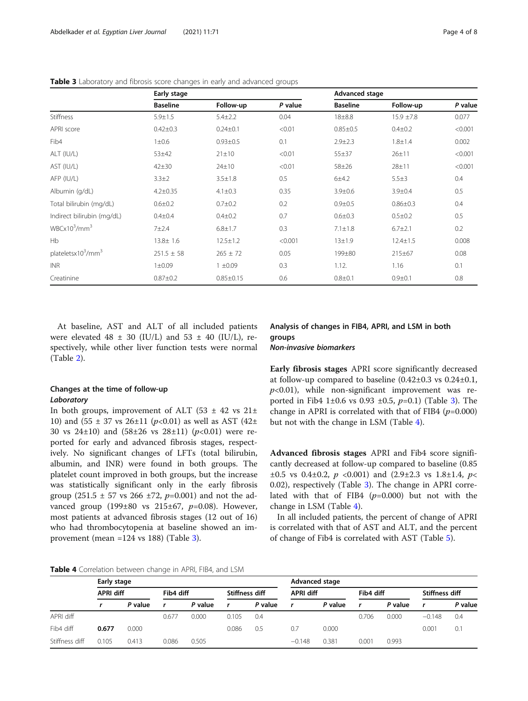|                                            | Early stage     |                 |         | <b>Advanced stage</b> |                |         |  |  |
|--------------------------------------------|-----------------|-----------------|---------|-----------------------|----------------|---------|--|--|
|                                            | <b>Baseline</b> | Follow-up       | P value | <b>Baseline</b>       | Follow-up      | P value |  |  |
| <b>Stiffness</b>                           | $5.9 \pm 1.5$   | $5.4 \pm 2.2$   | 0.04    | $18 + 8.8$            | $15.9 \pm 7.8$ | 0.077   |  |  |
| APRI score                                 | $0.42 \pm 0.3$  | $0.24 \pm 0.1$  | < 0.01  | $0.85 \pm 0.5$        | $0.4 + 0.2$    | < 0.001 |  |  |
| Fib <sub>4</sub>                           | $1\pm0.6$       | $0.93 \pm 0.5$  | 0.1     | $2.9 \pm 2.3$         | $1.8 + 1.4$    | 0.002   |  |  |
| ALT (IU/L)                                 | $53 + 42$       | $21\pm10$       | < 0.01  | $55 + 37$             | $26 + 11$      | < 0.001 |  |  |
| AST (IU/L)                                 | $42 + 30$       | $24 \pm 10$     | < 0.01  | $58 + 26$             | $28 + 11$      | < 0.001 |  |  |
| AFP (IU/L)                                 | $3.3 \pm 2$     | $3.5 \pm 1.8$   | 0.5     | 6±4.2                 | $5.5 \pm 3$    | 0.4     |  |  |
| Albumin (g/dL)                             | $4.2 \pm 0.35$  | $4.1 \pm 0.3$   | 0.35    | $3.9 + 0.6$           | $3.9 + 0.4$    | 0.5     |  |  |
| Total bilirubin (mg/dL)                    | $0.6 \pm 0.2$   | $0.7 + 0.2$     | 0.2     | $0.9 + 0.5$           | $0.86 \pm 0.3$ | 0.4     |  |  |
| Indirect bilirubin (mg/dL)                 | $0.4 \pm 0.4$   | $0.4 + 0.2$     | 0.7     | $0.6 \pm 0.3$         | $0.5 \pm 0.2$  | 0.5     |  |  |
| $WBCx10^3/mm^3$                            | $7 + 2.4$       | $6.8 \pm 1.7$   | 0.3     | $7.1 \pm 1.8$         | $6.7 \pm 2.1$  | 0.2     |  |  |
| <b>Hb</b>                                  | 13.8± 1.6       | $12.5 \pm 1.2$  | < 0.001 | $13 + 1.9$            | $12.4 \pm 1.5$ | 0.008   |  |  |
| plateletsx10 <sup>3</sup> /mm <sup>3</sup> | $251.5 \pm 58$  | $265 \pm 72$    | 0.05    | 199±80                | $215 \pm 67$   | 0.08    |  |  |
| <b>INR</b>                                 | 1 ± 0.09        | $1 + 0.09$      | 0.3     | 1.12.                 | 1.16           | 0.1     |  |  |
| Creatinine                                 | $0.87 + 0.2$    | $0.85 \pm 0.15$ | 0.6     | $0.8 + 0.1$           | $0.9 + 0.1$    | 0.8     |  |  |

<span id="page-3-0"></span>Table 3 Laboratory and fibrosis score changes in early and advanced groups

At baseline, AST and ALT of all included patients were elevated 48  $\pm$  30 (IU/L) and 53  $\pm$  40 (IU/L), respectively, while other liver function tests were normal (Table [2\)](#page-2-0).

## Changes at the time of follow-up Laboratory

In both groups, improvement of ALT (53  $\pm$  42 vs 21 $\pm$ 10) and (55  $\pm$  37 vs 26 $\pm$ 11 (p<0.01) as well as AST (42 $\pm$ 30 vs  $24\pm10$ ) and  $(58\pm26$  vs  $28\pm11$ )  $(p<0.01)$  were reported for early and advanced fibrosis stages, respectively. No significant changes of LFTs (total bilirubin, albumin, and INR) were found in both groups. The platelet count improved in both groups, but the increase was statistically significant only in the early fibrosis group (251.5  $\pm$  57 vs 266  $\pm$ 72, p=0.001) and not the advanced group (199 $\pm 80$  vs 215 $\pm 67$ , p=0.08). However, most patients at advanced fibrosis stages (12 out of 16) who had thrombocytopenia at baseline showed an improvement (mean =124 vs 188) (Table 3).

Analysis of changes in FIB4, APRI, and LSM in both groups

Non-invasive biomarkers

Early fibrosis stages APRI score significantly decreased at follow-up compared to baseline (0.42±0.3 vs 0.24±0.1,  $p<0.01$ ), while non-significant improvement was reported in Fib4 1 $\pm$ 0.6 vs 0.93  $\pm$ 0.5, p=0.1) (Table 3). The change in APRI is correlated with that of FIB4  $(p=0.000)$ but not with the change in LSM (Table 4).

Advanced fibrosis stages APRI and Fib4 score significantly decreased at follow-up compared to baseline (0.85  $\pm 0.5$  vs 0.4 $\pm 0.2$ ,  $p \le 0.001$ ) and  $(2.9 \pm 2.3$  vs 1.8 $\pm 1.4$ ,  $p \le$ 0.02), respectively (Table 3). The change in APRI correlated with that of FIB4  $(p=0.000)$  but not with the change in LSM (Table 4).

In all included patients, the percent of change of APRI is correlated with that of AST and ALT, and the percent of change of Fib4 is correlated with AST (Table [5](#page-4-0)).

Table 4 Correlation between change in APRI, FIB4, and LSM

|                | Early stage      |         |                             |         |       |                  |          | <b>Advanced stage</b> |       |                |          |         |  |
|----------------|------------------|---------|-----------------------------|---------|-------|------------------|----------|-----------------------|-------|----------------|----------|---------|--|
|                | <b>APRI diff</b> |         | Fib4 diff<br>Stiffness diff |         |       | <b>APRI diff</b> |          | Fib4 diff             |       | Stiffness diff |          |         |  |
|                |                  | P value | r                           | P value |       | P value          |          | P value               |       | P value        |          | P value |  |
| APRI diff      |                  |         | 0.67                        | 0.000   | 0.105 | 0.4              |          |                       | 0.706 | 0.000          | $-0.148$ | 0.4     |  |
| Fib4 diff      | 0.677            | 0.000   |                             |         | 0.086 | 0.5              | 0.7      | 0.000                 |       |                | 0.001    | 0.1     |  |
| Stiffness diff | 0.105            | 0.413   | 0.086                       | 0.505   |       |                  | $-0.148$ | 0.381                 | 0.001 | 0.993          |          |         |  |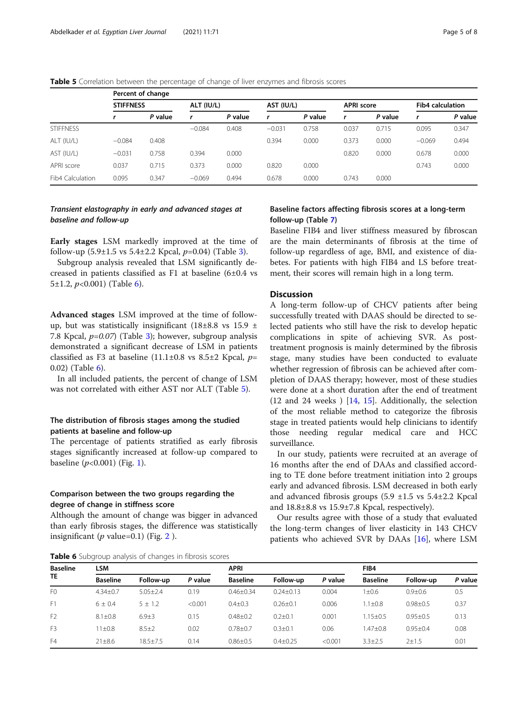<span id="page-4-0"></span>Table 5 Correlation between the percentage of change of liver enzymes and fibrosis scores

|                  | Percent of change |         |            |         |            |         |                   |         |                         |         |  |  |
|------------------|-------------------|---------|------------|---------|------------|---------|-------------------|---------|-------------------------|---------|--|--|
|                  | <b>STIFFNESS</b>  |         | ALT (IU/L) |         | AST (IU/L) |         | <b>APRI</b> score |         | <b>Fib4 calculation</b> |         |  |  |
|                  |                   | P value |            | P value | r          | P value | r                 | P value |                         | P value |  |  |
| <b>STIFFNESS</b> |                   |         | $-0.084$   | 0.408   | $-0.031$   | 0.758   | 0.037             | 0.715   | 0.095                   | 0.347   |  |  |
| ALT (IU/L)       | $-0.084$          | 0.408   |            |         | 0.394      | 0.000   | 0.373             | 0.000   | $-0.069$                | 0.494   |  |  |
| AST (IU/L)       | $-0.031$          | 0.758   | 0.394      | 0.000   |            |         | 0.820             | 0.000   | 0.678                   | 0.000   |  |  |
| APRI score       | 0.037             | 0.715   | 0.373      | 0.000   | 0.820      | 0.000   |                   |         | 0.743                   | 0.000   |  |  |
| Fib4 Calculation | 0.095             | 0.347   | $-0.069$   | 0.494   | 0.678      | 0.000   | 0.743             | 0.000   |                         |         |  |  |

# Transient elastography in early and advanced stages at baseline and follow-up

Early stages LSM markedly improved at the time of follow-up  $(5.9\pm1.5 \text{ vs } 5.4\pm2.2 \text{ Kpcal}, p=0.04)$  (Table [3](#page-3-0)).

Subgroup analysis revealed that LSM significantly decreased in patients classified as F1 at baseline (6±0.4 vs 5 $\pm$ 1.2, *p*<0.001) (Table 6).

Advanced stages LSM improved at the time of followup, but was statistically insignificant (18 $\pm$ 8.8 vs 15.9  $\pm$ 7.8 Kpcal,  $p=0.07$ ) (Table [3](#page-3-0)); however, subgroup analysis demonstrated a significant decrease of LSM in patients classified as F3 at baseline  $(11.1\pm0.8 \text{ vs } 8.5\pm2 \text{ Kpcal}, p=$ 0.02) (Table 6).

In all included patients, the percent of change of LSM was not correlated with either AST nor ALT (Table 5).

# The distribution of fibrosis stages among the studied patients at baseline and follow-up

The percentage of patients stratified as early fibrosis stages significantly increased at follow-up compared to baseline  $(p<0.001)$  $(p<0.001)$  $(p<0.001)$  (Fig. 1).

# Comparison between the two groups regarding the degree of change in stiffness score

Although the amount of change was bigger in advanced than early fibrosis stages, the difference was statistically insignificant ( $p$  value=0.1) (Fig. [2](#page-5-0)).

|  |  |  |  | Table 6 Subgroup analysis of changes in fibrosis scores |
|--|--|--|--|---------------------------------------------------------|
|--|--|--|--|---------------------------------------------------------|

## Baseline factors affecting fibrosis scores at a long-term follow-up (Table [7\)](#page-6-0)

Baseline FIB4 and liver stiffness measured by fibroscan are the main determinants of fibrosis at the time of follow-up regardless of age, BMI, and existence of diabetes. For patients with high FIB4 and LS before treatment, their scores will remain high in a long term.

## **Discussion**

A long-term follow-up of CHCV patients after being successfully treated with DAAS should be directed to selected patients who still have the risk to develop hepatic complications in spite of achieving SVR. As posttreatment prognosis is mainly determined by the fibrosis stage, many studies have been conducted to evaluate whether regression of fibrosis can be achieved after completion of DAAS therapy; however, most of these studies were done at a short duration after the end of treatment (12 and 24 weeks ) [[14,](#page-7-0) [15\]](#page-7-0). Additionally, the selection of the most reliable method to categorize the fibrosis stage in treated patients would help clinicians to identify those needing regular medical care and HCC surveillance.

In our study, patients were recruited at an average of 16 months after the end of DAAs and classified according to TE done before treatment initiation into 2 groups early and advanced fibrosis. LSM decreased in both early and advanced fibrosis groups  $(5.9 \pm 1.5 \text{ vs } 5.4 \pm 2.2 \text{ Kpcal})$ and 18.8±8.8 vs 15.9±7.8 Kpcal, respectively).

Our results agree with those of a study that evaluated the long-term changes of liver elasticity in 143 CHCV patients who achieved SVR by DAAs [[16](#page-7-0)], where LSM

| <b>Baseline</b><br>TE | LSM             |                |         | <b>APRI</b>     |                 |         | FIB4            |                |         |  |
|-----------------------|-----------------|----------------|---------|-----------------|-----------------|---------|-----------------|----------------|---------|--|
|                       | <b>Baseline</b> | Follow-up      | P value | <b>Baseline</b> | Follow-up       | P value | <b>Baseline</b> | Follow-up      | P value |  |
| F <sub>0</sub>        | $4.34 \pm 0.7$  | $5.05 \pm 2.4$ | 0.19    | $0.46 \pm 0.34$ | $0.24 \pm 0.13$ | 0.004   | $1 \pm 0.6$     | $0.9 + 0.6$    | 0.5     |  |
| F1                    | $6 \pm 0.4$     | $5 \pm 1.2$    | < 0.001 | $0.4 \pm 0.3$   | $0.26 \pm 0.1$  | 0.006   | $1.1 \pm 0.8$   | $0.98 + 0.5$   | 0.37    |  |
| F <sub>2</sub>        | $8.1 \pm 0.8$   | $6.9 + 3$      | 0.15    | $0.48 + 0.2$    | $0.2 \pm 0.1$   | 0.001   | $1.15 \pm 0.5$  | $0.95 \pm 0.5$ | 0.13    |  |
| F <sub>3</sub>        | 11±0.8          | $8.5 \pm 2$    | 0.02    | $0.78 + 0.7$    | $0.3 \pm 0.1$   | 0.06    | $1.47 + 0.8$    | $0.95 \pm 0.4$ | 0.08    |  |
| F4                    | $21 \pm 8.6$    | $18.5 + 7.5$   | 0.14    | $0.86 \pm 0.5$  | $0.4 \pm 0.25$  | < 0.001 | $3.3 \pm 2.5$   | $2+1.5$        | 0.01    |  |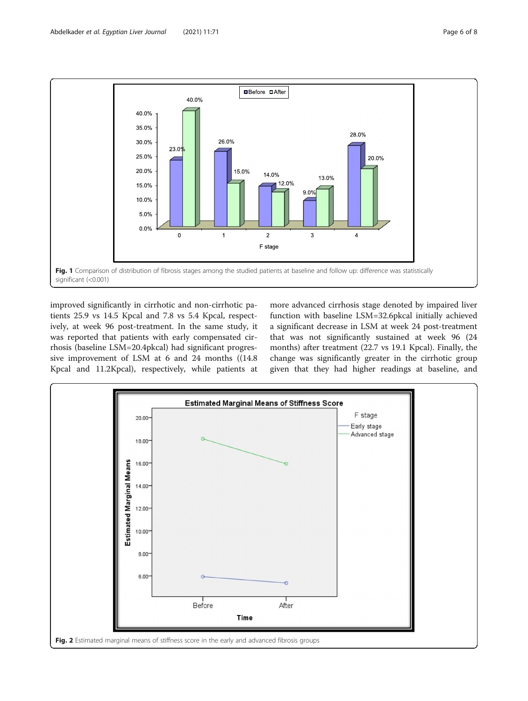<span id="page-5-0"></span>

improved significantly in cirrhotic and non-cirrhotic patients 25.9 vs 14.5 Kpcal and 7.8 vs 5.4 Kpcal, respectively, at week 96 post-treatment. In the same study, it was reported that patients with early compensated cirrhosis (baseline LSM=20.4pkcal) had significant progressive improvement of LSM at 6 and 24 months ((14.8 Kpcal and 11.2Kpcal), respectively, while patients at more advanced cirrhosis stage denoted by impaired liver function with baseline LSM=32.6pkcal initially achieved a significant decrease in LSM at week 24 post-treatment that was not significantly sustained at week 96 (24 months) after treatment (22.7 vs 19.1 Kpcal). Finally, the change was significantly greater in the cirrhotic group given that they had higher readings at baseline, and

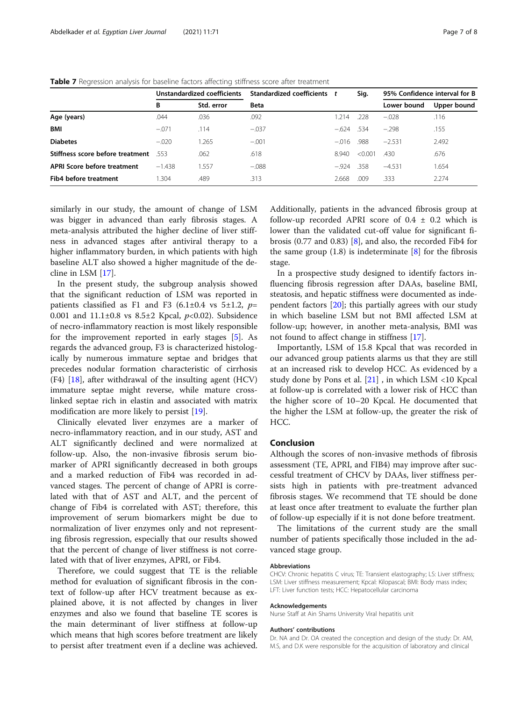|                                  | Unstandardized coefficients |            | Standardized coefficients t |         | Sig.    | 95% Confidence interval for B |             |  |
|----------------------------------|-----------------------------|------------|-----------------------------|---------|---------|-------------------------------|-------------|--|
|                                  | В                           | Std. error | <b>Beta</b>                 |         |         | Lower bound                   | Upper bound |  |
| Age (years)                      | .044                        | .036       | .092                        | 1.214   | .228    | $-.028$                       | .116        |  |
| <b>BMI</b>                       | $-.071$                     | .114       | $-.037$                     | $-.624$ | .534    | $-298$                        | .155        |  |
| <b>Diabetes</b>                  | $-.020$                     | 1.265      | $-.001$                     | $-.016$ | .988    | $-2.531$                      | 2.492       |  |
| Stiffness score before treatment | 553                         | .062       | .618                        | 8940    | < 0.001 | .430                          | .676        |  |
| APRI Score before treatment      | $-1.438$                    | 1.557      | $-.088$                     | $-924$  | .358    | $-4.531$                      | 1.654       |  |
| Fib4 before treatment            | 1.304                       | .489       | .313                        | 2.668   | .009    | .333                          | 2.274       |  |

<span id="page-6-0"></span>Table 7 Regression analysis for baseline factors affecting stiffness score after treatment

similarly in our study, the amount of change of LSM was bigger in advanced than early fibrosis stages. A meta-analysis attributed the higher decline of liver stiffness in advanced stages after antiviral therapy to a higher inflammatory burden, in which patients with high baseline ALT also showed a higher magnitude of the decline in LSM [[17](#page-7-0)].

In the present study, the subgroup analysis showed that the significant reduction of LSM was reported in patients classified as F1 and F3 (6.1 $\pm$ 0.4 vs 5 $\pm$ 1.2, p= 0.001 and  $11.1\pm0.8$  vs  $8.5\pm2$  Kpcal,  $p<0.02$ ). Subsidence of necro-inflammatory reaction is most likely responsible for the improvement reported in early stages [\[5](#page-7-0)]. As regards the advanced group, F3 is characterized histologically by numerous immature septae and bridges that precedes nodular formation characteristic of cirrhosis  $(F4)$  [[18\]](#page-7-0), after withdrawal of the insulting agent (HCV) immature septae might reverse, while mature crosslinked septae rich in elastin and associated with matrix modification are more likely to persist [\[19\]](#page-7-0).

Clinically elevated liver enzymes are a marker of necro-inflammatory reaction, and in our study, AST and ALT significantly declined and were normalized at follow-up. Also, the non-invasive fibrosis serum biomarker of APRI significantly decreased in both groups and a marked reduction of Fib4 was recorded in advanced stages. The percent of change of APRI is correlated with that of AST and ALT, and the percent of change of Fib4 is correlated with AST; therefore, this improvement of serum biomarkers might be due to normalization of liver enzymes only and not representing fibrosis regression, especially that our results showed that the percent of change of liver stiffness is not correlated with that of liver enzymes, APRI, or Fib4.

Therefore, we could suggest that TE is the reliable method for evaluation of significant fibrosis in the context of follow-up after HCV treatment because as explained above, it is not affected by changes in liver enzymes and also we found that baseline TE scores is the main determinant of liver stiffness at follow-up which means that high scores before treatment are likely to persist after treatment even if a decline was achieved.

Additionally, patients in the advanced fibrosis group at follow-up recorded APRI score of  $0.4 \pm 0.2$  which is lower than the validated cut-off value for significant fibrosis (0.77 and 0.83) [[8\]](#page-7-0), and also, the recorded Fib4 for the same group  $(1.8)$  is indeterminate  $[8]$  $[8]$  for the fibrosis stage.

In a prospective study designed to identify factors influencing fibrosis regression after DAAs, baseline BMI, steatosis, and hepatic stiffness were documented as independent factors [[20](#page-7-0)]; this partially agrees with our study in which baseline LSM but not BMI affected LSM at follow-up; however, in another meta-analysis, BMI was not found to affect change in stiffness [[17\]](#page-7-0).

Importantly, LSM of 15.8 Kpcal that was recorded in our advanced group patients alarms us that they are still at an increased risk to develop HCC. As evidenced by a study done by Pons et al. [[21](#page-7-0)] , in which LSM <10 Kpcal at follow-up is correlated with a lower risk of HCC than the higher score of 10–20 Kpcal. He documented that the higher the LSM at follow-up, the greater the risk of HCC.

### Conclusion

Although the scores of non-invasive methods of fibrosis assessment (TE, APRI, and FIB4) may improve after successful treatment of CHCV by DAAs, liver stiffness persists high in patients with pre-treatment advanced fibrosis stages. We recommend that TE should be done at least once after treatment to evaluate the further plan of follow-up especially if it is not done before treatment.

The limitations of the current study are the small number of patients specifically those included in the advanced stage group.

#### Abbreviations

CHCV: Chronic hepatitis C virus; TE: Transient elastography; LS: Liver stiffness; LSM: Liver stiffness measurement; Kpcal: Kilopascal; BMI: Body mass index; LFT: Liver function tests; HCC: Hepatocellular carcinoma

#### Acknowledgements

Nurse Staff at Ain Shams University Viral hepatitis unit

#### Authors' contributions

Dr. NA and Dr. OA created the conception and design of the study: Dr. AM, M.S, and D.K were responsible for the acquisition of laboratory and clinical